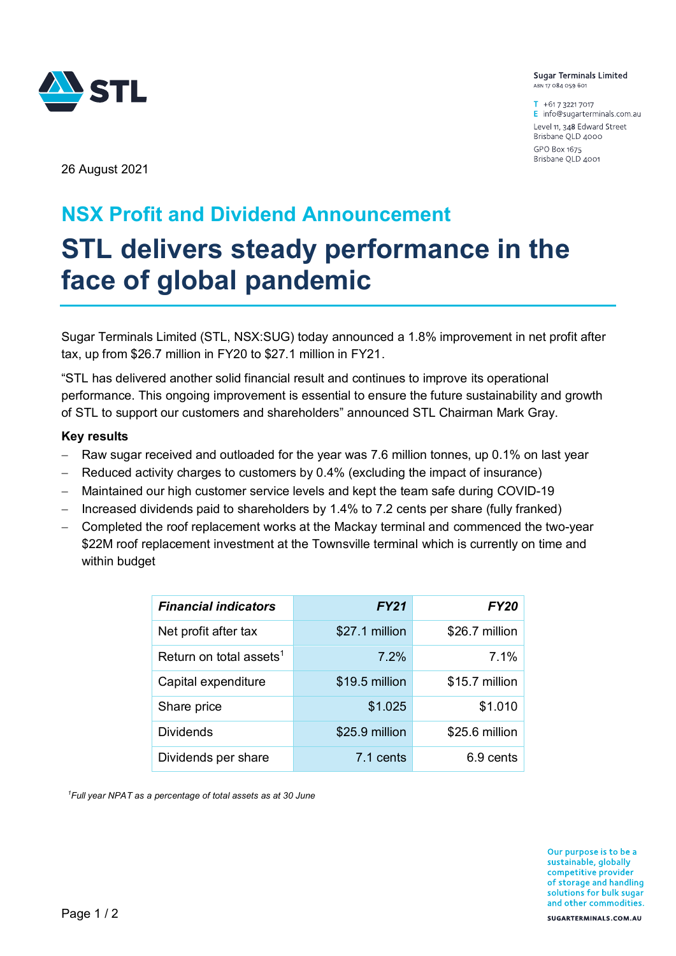

**Sugar Terminals Limited** ABN 17 084 059 601

 $T + 61732217017$ E info@sugarterminals.com.au Level 11, 348 Edward Street Brisbane QLD 4000 GPO Box 1675 Brisbane QLD 4001

26 August 2021

# **NSX Profit and Dividend Announcement STL delivers steady performance in the face of global pandemic**

Sugar Terminals Limited (STL, NSX:SUG) today announced a 1.8% improvement in net profit after tax, up from \$26.7 million in FY20 to \$27.1 million in FY21.

"STL has delivered another solid financial result and continues to improve its operational performance. This ongoing improvement is essential to ensure the future sustainability and growth of STL to support our customers and shareholders" announced STL Chairman Mark Gray.

## **Key results**

- Raw sugar received and outloaded for the year was 7.6 million tonnes, up 0.1% on last year
- Reduced activity charges to customers by 0.4% (excluding the impact of insurance)
- Maintained our high customer service levels and kept the team safe during COVID-19
- Increased dividends paid to shareholders by 1.4% to 7.2 cents per share (fully franked)
- Completed the roof replacement works at the Mackay terminal and commenced the two-year \$22M roof replacement investment at the Townsville terminal which is currently on time and within budget

| <b>Financial indicators</b>         | <b>FY21</b>    | <b>FY20</b>    |
|-------------------------------------|----------------|----------------|
| Net profit after tax                | \$27.1 million | \$26.7 million |
| Return on total assets <sup>1</sup> | 7.2%           | 7.1%           |
| Capital expenditure                 | \$19.5 million | \$15.7 million |
| Share price                         | \$1.025        | \$1.010        |
| <b>Dividends</b>                    | \$25.9 million | \$25.6 million |
| Dividends per share                 | 7.1 cents      | 6.9 cents      |

*<sup>1</sup>Full year NPAT as a percentage of total assets as at 30 June*